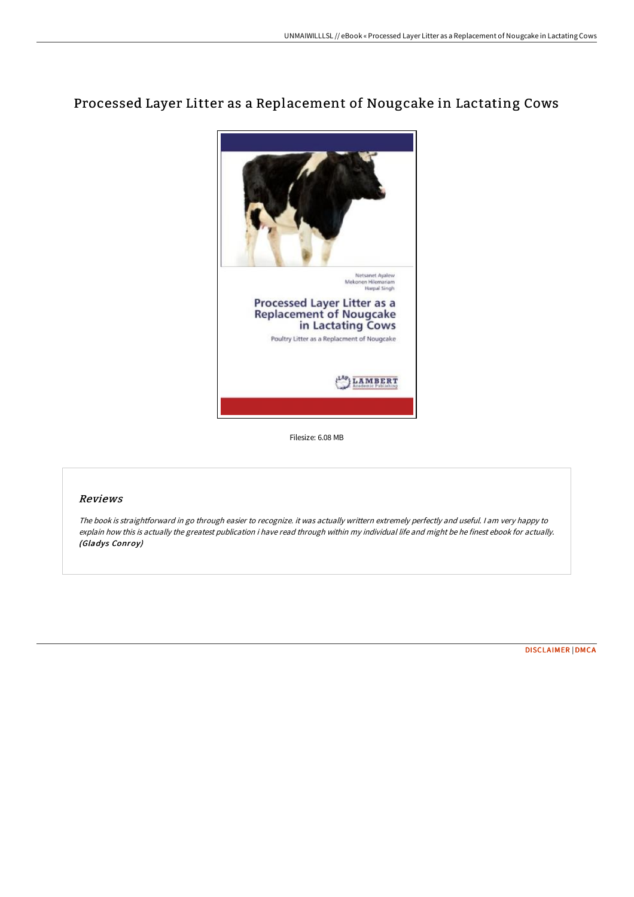# Processed Layer Litter as a Replacement of Nougcake in Lactating Cows



Filesize: 6.08 MB

# Reviews

The book is straightforward in go through easier to recognize. it was actually writtern extremely perfectly and useful. <sup>I</sup> am very happy to explain how this is actually the greatest publication i have read through within my individual life and might be he finest ebook for actually. (Gladys Conroy)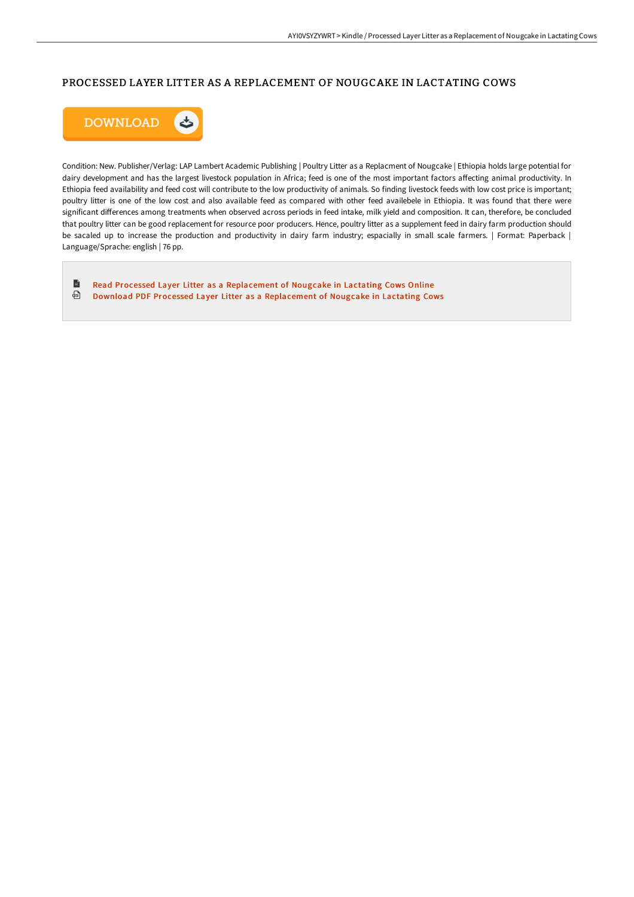# PROCESSED LAYER LITTER AS A REPLACEMENT OF NOUGCAKE IN LACTATING COWS



Condition: New. Publisher/Verlag: LAP Lambert Academic Publishing | Poultry Litter as a Replacment of Nougcake | Ethiopia holds large potential for dairy development and has the largest livestock population in Africa; feed is one of the most important factors affecting animal productivity. In Ethiopia feed availability and feed cost will contribute to the low productivity of animals. So finding livestock feeds with low cost price is important; poultry litter is one of the low cost and also available feed as compared with other feed availebele in Ethiopia. It was found that there were significant differences among treatments when observed across periods in feed intake, milk yield and composition. It can, therefore, be concluded that poultry litter can be good replacement for resource poor producers. Hence, poultry litter as a supplement feed in dairy farm production should be sacaled up to increase the production and productivity in dairy farm industry; espacially in small scale farmers. | Format: Paperback | Language/Sprache: english | 76 pp.

 $\blacksquare$ Read Processed Layer Litter as a [Replacement](http://bookera.tech/processed-layer-litter-as-a-replacement-of-nougc.html) of Nougcake in Lactating Cows Online ⊕ Download PDF Processed Layer Litter as a [Replacement](http://bookera.tech/processed-layer-litter-as-a-replacement-of-nougc.html) of Nougcake in Lactating Cows